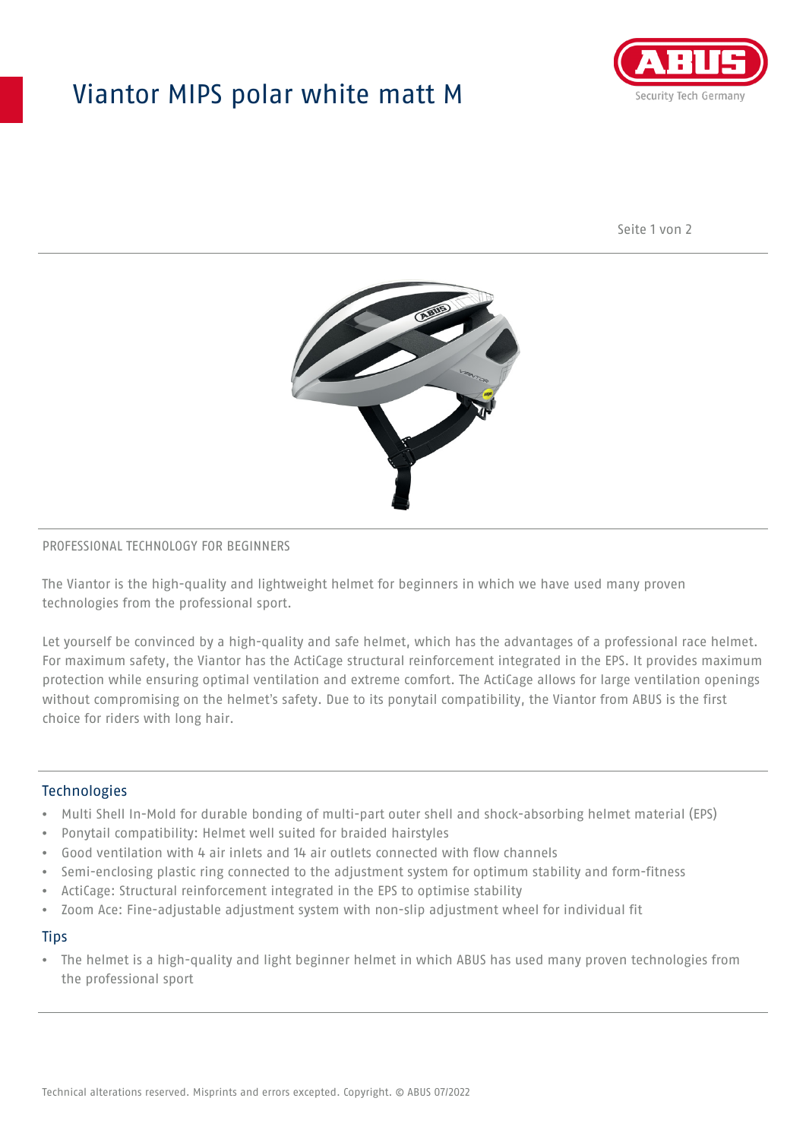## Viantor MIPS polar white matt M



Seite 1 von 2



#### PROFESSIONAL TECHNOLOGY FOR BEGINNERS

The Viantor is the high-quality and lightweight helmet for beginners in which we have used many proven technologies from the professional sport.

Let yourself be convinced by a high-quality and safe helmet, which has the advantages of a professional race helmet. For maximum safety, the Viantor has the ActiCage structural reinforcement integrated in the EPS. It provides maximum protection while ensuring optimal ventilation and extreme comfort. The ActiCage allows for large ventilation openings without compromising on the helmet's safety. Due to its ponytail compatibility, the Viantor from ABUS is the first choice for riders with long hair.

#### **Technologies**

- Multi Shell In-Mold for durable bonding of multi-part outer shell and shock-absorbing helmet material (EPS)
- Ponytail compatibility: Helmet well suited for braided hairstyles
- Good ventilation with 4 air inlets and 14 air outlets connected with flow channels
- Semi-enclosing plastic ring connected to the adjustment system for optimum stability and form-fitness
- ActiCage: Structural reinforcement integrated in the EPS to optimise stability
- Zoom Ace: Fine-adjustable adjustment system with non-slip adjustment wheel for individual fit

#### **Tips**

• The helmet is a high-quality and light beginner helmet in which ABUS has used many proven technologies from the professional sport